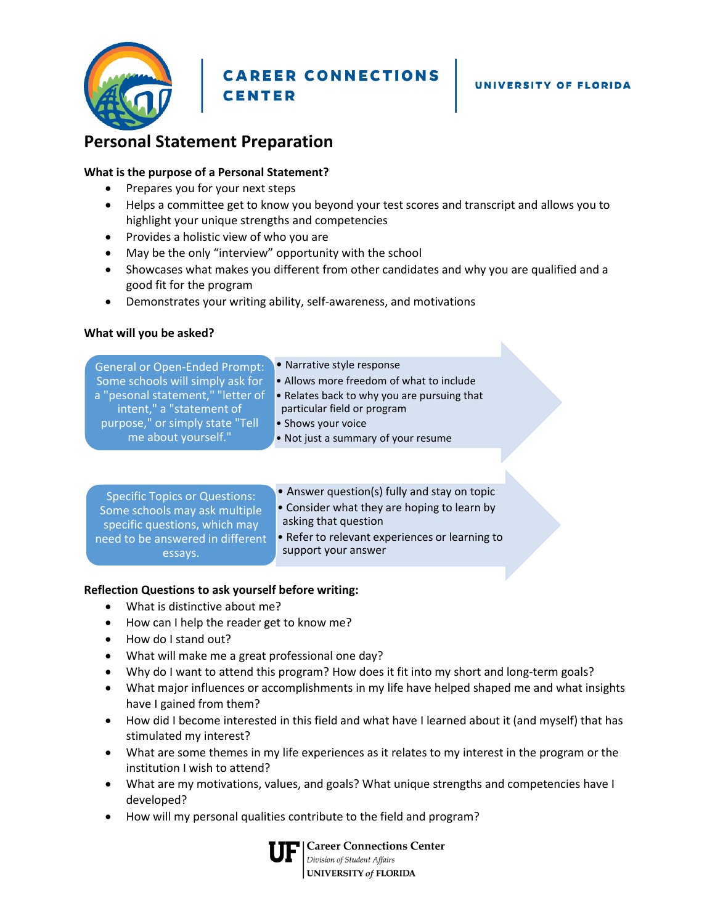

**CAREER CONNECTIONS CENTER** 

N

# **Personal Statement Preparation**

#### **What is the purpose of a Personal Statement?**

- Prepares you for your next steps
- Helps a committee get to know you beyond your test scores and transcript and allows you to highlight your unique strengths and competencies
- Provides a holistic view of who you are
- May be the only "interview" opportunity with the school
- Showcases what makes you different from other candidates and why you are qualified and a good fit for the program
- Demonstrates your writing ability, self-awareness, and motivations

#### **What will you be asked?**

| <b>General or Open-Ended Prompt:</b><br>Some schools will simply ask for<br>a "pesonal statement," "letter of<br>intent," a "statement of<br>purpose," or simply state "Tell<br>me about yourself." | • Narrative style response<br>• Allows more freedom of what to include<br>• Relates back to why you are pursuing that<br>particular field or program<br>• Shows your voice<br>• Not just a summary of your resume |  |
|-----------------------------------------------------------------------------------------------------------------------------------------------------------------------------------------------------|-------------------------------------------------------------------------------------------------------------------------------------------------------------------------------------------------------------------|--|
| <b>Specific Topics or Questions:</b><br>Some schools may ask multiple<br>specific questions, which may<br>need to be answered in different<br>essays.                                               | • Answer question(s) fully and stay on topic<br>• Consider what they are hoping to learn by<br>asking that question<br>• Refer to relevant experiences or learning to<br>support your answer                      |  |

## **Reflection Questions to ask yourself before writing:**

- What is distinctive about me?
- How can I help the reader get to know me?
- How do I stand out?
- What will make me a great professional one day?
- Why do I want to attend this program? How does it fit into my short and long-term goals?
- What major influences or accomplishments in my life have helped shaped me and what insights have I gained from them?
- How did I become interested in this field and what have I learned about it (and myself) that has stimulated my interest?
- What are some themes in my life experiences as it relates to my interest in the program or the institution I wish to attend?
- What are my motivations, values, and goals? What unique strengths and competencies have I developed?
- How will my personal qualities contribute to the field and program?



**Career Connections Center** Division of Student Affairs<br>
UNIVERSITY of FLORIDA